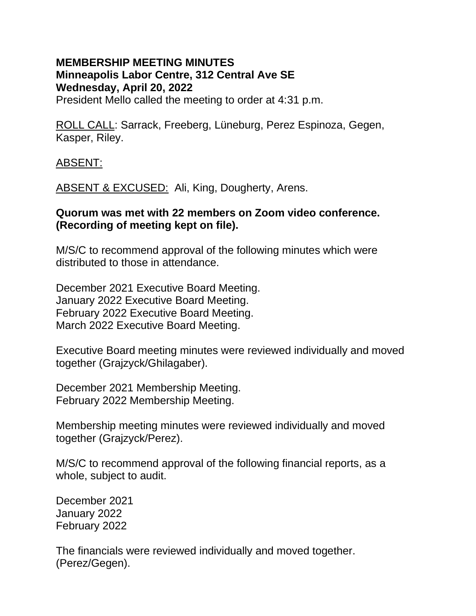# **MEMBERSHIP MEETING MINUTES Minneapolis Labor Centre, 312 Central Ave SE Wednesday, April 20, 2022**

President Mello called the meeting to order at 4:31 p.m.

ROLL CALL: Sarrack, Freeberg, Lüneburg, Perez Espinoza, Gegen, Kasper, Riley.

ABSENT:

ABSENT & EXCUSED: Ali, King, Dougherty, Arens.

#### **Quorum was met with 22 members on Zoom video conference. (Recording of meeting kept on file).**

M/S/C to recommend approval of the following minutes which were distributed to those in attendance.

December 2021 Executive Board Meeting. January 2022 Executive Board Meeting. February 2022 Executive Board Meeting. March 2022 Executive Board Meeting.

Executive Board meeting minutes were reviewed individually and moved together (Grajzyck/Ghilagaber).

December 2021 Membership Meeting. February 2022 Membership Meeting.

Membership meeting minutes were reviewed individually and moved together (Grajzyck/Perez).

M/S/C to recommend approval of the following financial reports, as a whole, subject to audit.

December 2021 January 2022 February 2022

The financials were reviewed individually and moved together. (Perez/Gegen).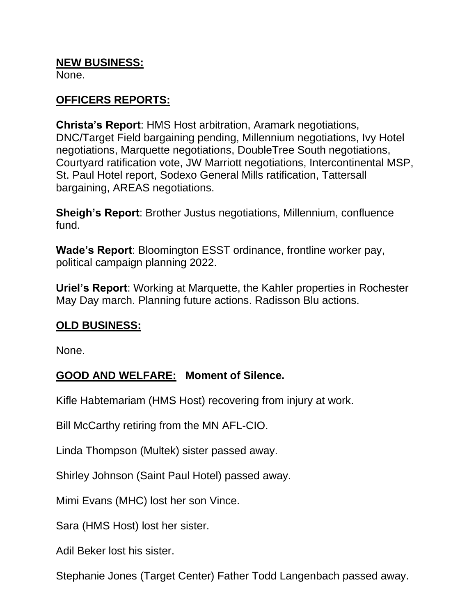#### **NEW BUSINESS:**

None.

# **OFFICERS REPORTS:**

**Christa's Report**: HMS Host arbitration, Aramark negotiations, DNC/Target Field bargaining pending, Millennium negotiations, Ivy Hotel negotiations, Marquette negotiations, DoubleTree South negotiations, Courtyard ratification vote, JW Marriott negotiations, Intercontinental MSP, St. Paul Hotel report, Sodexo General Mills ratification, Tattersall bargaining, AREAS negotiations.

**Sheigh's Report**: Brother Justus negotiations, Millennium, confluence fund.

**Wade's Report**: Bloomington ESST ordinance, frontline worker pay, political campaign planning 2022.

**Uriel's Report**: Working at Marquette, the Kahler properties in Rochester May Day march. Planning future actions. Radisson Blu actions.

## **OLD BUSINESS:**

None.

# **GOOD AND WELFARE: Moment of Silence.**

Kifle Habtemariam (HMS Host) recovering from injury at work.

Bill McCarthy retiring from the MN AFL-CIO.

Linda Thompson (Multek) sister passed away.

Shirley Johnson (Saint Paul Hotel) passed away.

Mimi Evans (MHC) lost her son Vince.

Sara (HMS Host) lost her sister.

Adil Beker lost his sister.

Stephanie Jones (Target Center) Father Todd Langenbach passed away.